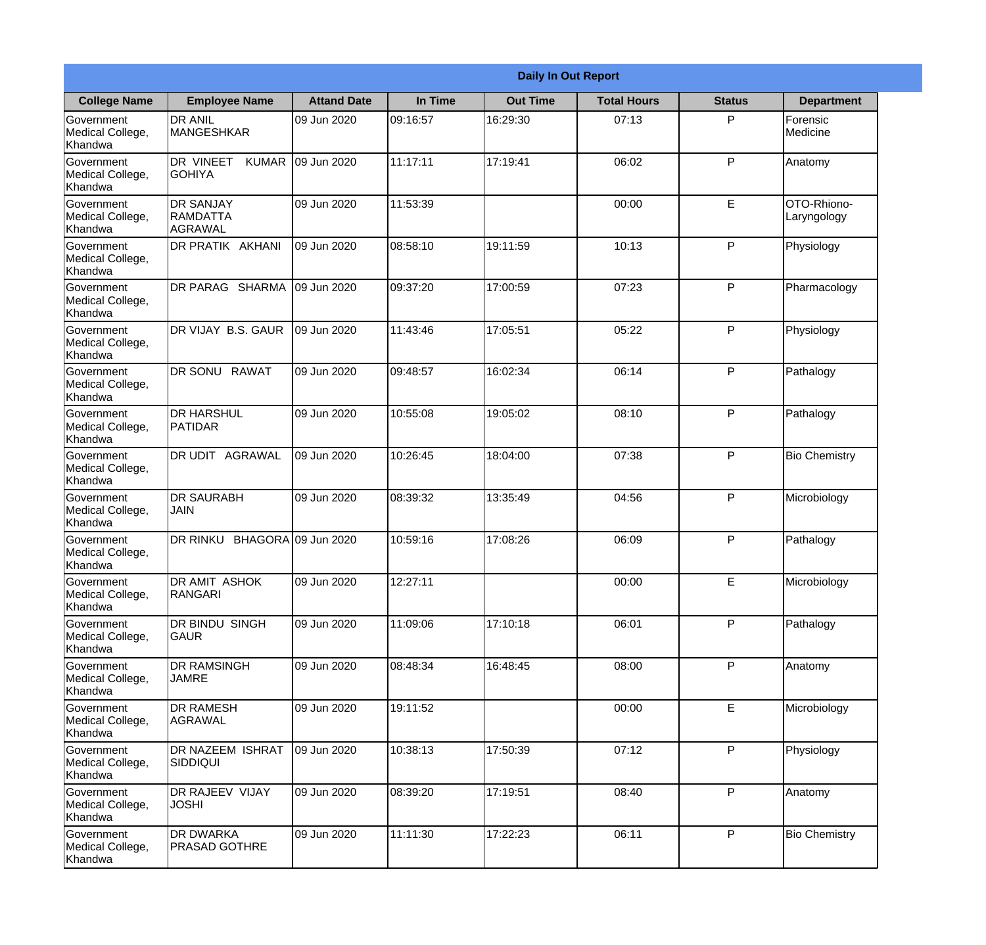|                                                  |                                                |                     |          | <b>Daily In Out Report</b> |                    |               |                            |
|--------------------------------------------------|------------------------------------------------|---------------------|----------|----------------------------|--------------------|---------------|----------------------------|
| <b>College Name</b>                              | <b>Employee Name</b>                           | <b>Attand Date</b>  | In Time  | <b>Out Time</b>            | <b>Total Hours</b> | <b>Status</b> | <b>Department</b>          |
| Government<br>Medical College,<br>Khandwa        | <b>DR ANIL</b><br><b>MANGESHKAR</b>            | 09 Jun 2020         | 09:16:57 | 16:29:30                   | 07:13              | P             | Forensic<br>Medicine       |
| Government<br>Medical College,<br>Khandwa        | DR VINEET<br><b>KUMAR</b><br><b>GOHIYA</b>     | 09 Jun 2020         | 11:17:11 | 17:19:41                   | 06:02              | P             | Anatomy                    |
| <b>Government</b><br>Medical College,<br>Khandwa | <b>DR SANJAY</b><br><b>RAMDATTA</b><br>AGRAWAL | 09 Jun 2020         | 11:53:39 |                            | 00:00              | E             | OTO-Rhiono-<br>Laryngology |
| <b>Government</b><br>Medical College,<br>Khandwa | <b>DR PRATIK AKHANI</b>                        | 09 Jun 2020         | 08:58:10 | 19:11:59                   | 10:13              | P             | Physiology                 |
| Government<br>Medical College,<br>Khandwa        | DR PARAG SHARMA                                | 09 Jun 2020         | 09:37:20 | 17:00:59                   | 07:23              | P             | Pharmacology               |
| Government<br>Medical College,<br>Khandwa        | DR VIJAY B.S. GAUR                             | 09 Jun 2020         | 11:43:46 | 17:05:51                   | 05:22              | P             | Physiology                 |
| <b>Government</b><br>Medical College,<br>Khandwa | <b>IDR SONU RAWAT</b>                          | 09 Jun 2020         | 09:48:57 | 16:02:34                   | 06:14              | P             | Pathalogy                  |
| Government<br>Medical College,<br>Khandwa        | <b>DR HARSHUL</b><br>PATIDAR                   | 09 Jun 2020         | 10:55:08 | 19:05:02                   | 08:10              | P             | Pathalogy                  |
| Government<br>Medical College,<br>Khandwa        | DR UDIT AGRAWAL                                | 09 Jun 2020         | 10:26:45 | 18:04:00                   | 07:38              | P             | <b>Bio Chemistry</b>       |
| Government<br>Medical College,<br>Khandwa        | <b>DR SAURABH</b><br><b>JAIN</b>               | 09 Jun 2020         | 08:39:32 | 13:35:49                   | 04:56              | P             | Microbiology               |
| Government<br>Medical College,<br>Khandwa        | DR RINKU                                       | BHAGORA 09 Jun 2020 | 10:59:16 | 17:08:26                   | 06:09              | P             | Pathalogy                  |
| Government<br>Medical College,<br>Khandwa        | DR AMIT ASHOK<br>RANGARI                       | 09 Jun 2020         | 12:27:11 |                            | 00:00              | E             | Microbiology               |
| Government<br>Medical College,<br>Khandwa        | DR BINDU SINGH<br><b>GAUR</b>                  | 09 Jun 2020         | 11:09:06 | 17:10:18                   | 06:01              | P             | Pathalogy                  |
| Government<br>Medical College,<br>Khandwa        | <b>DR RAMSINGH</b><br><b>JAMRE</b>             | 09 Jun 2020         | 08:48:34 | 16:48:45                   | 08:00              | P             | Anatomy                    |
| Government<br>Medical College,<br>Khandwa        | <b>DR RAMESH</b><br>AGRAWAL                    | 09 Jun 2020         | 19:11:52 |                            | 00:00              | E             | Microbiology               |
| Government<br>Medical College,<br>Khandwa        | <b>DR NAZEEM ISHRAT</b><br><b>SIDDIQUI</b>     | 09 Jun 2020         | 10:38:13 | 17:50:39                   | 07:12              | P             | Physiology                 |
| Government<br>Medical College,<br>Khandwa        | DR RAJEEV VIJAY<br><b>JOSHI</b>                | 09 Jun 2020         | 08:39:20 | 17:19:51                   | 08:40              | P             | Anatomy                    |
| Government<br>Medical College,<br>Khandwa        | <b>DR DWARKA</b><br><b>PRASAD GOTHRE</b>       | 09 Jun 2020         | 11:11:30 | 17:22:23                   | 06:11              | P             | <b>Bio Chemistry</b>       |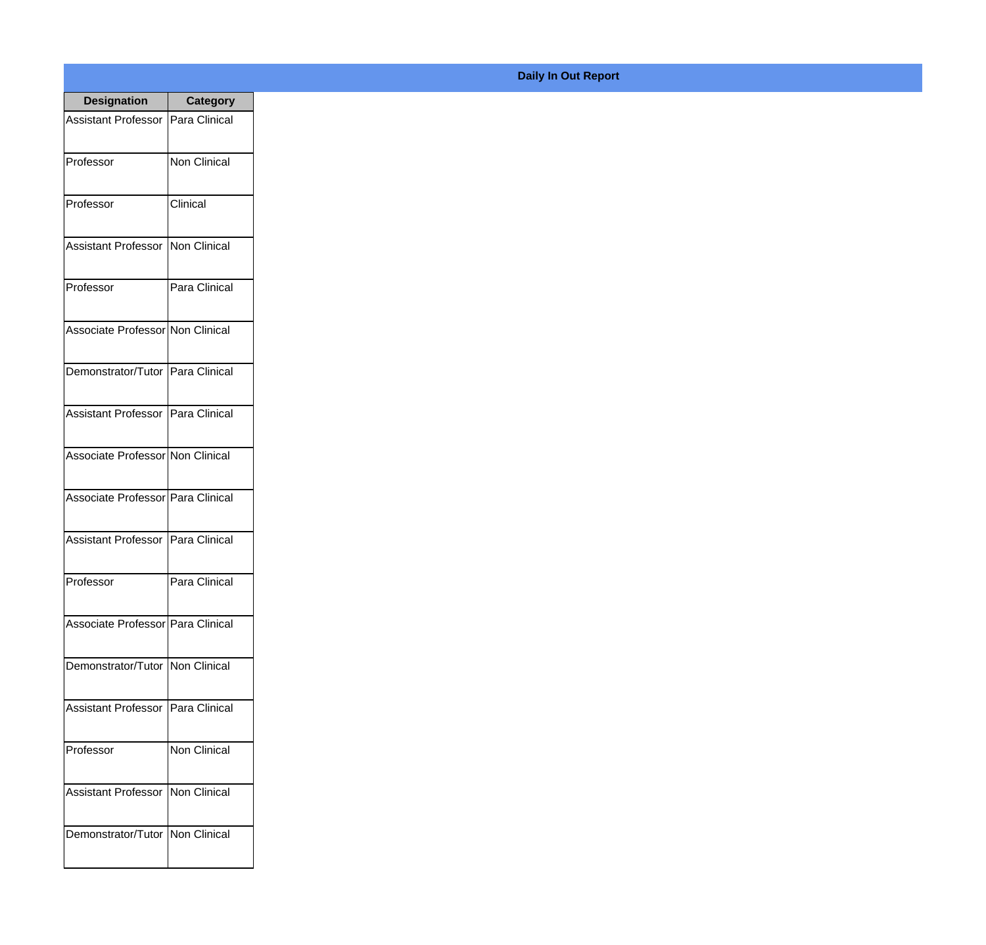| <b>Designation</b>                  | <b>Category</b>     |
|-------------------------------------|---------------------|
| Assistant Professor   Para Clinical |                     |
| Professor                           | <b>Non Clinical</b> |
| Professor                           | Clinical            |
| Assistant Professor                 | Non Clinical        |
| Professor                           | Para Clinical       |
| Associate Professor Non Clinical    |                     |
| Demonstrator/Tutor   Para Clinical  |                     |
| Assistant Professor   Para Clinical |                     |
| Associate Professor Non Clinical    |                     |
| Associate Professor   Para Clinical |                     |
| Assistant Professor                 | Para Clinical       |
| Professor                           | Para Clinical       |
| Associate Professor   Para Clinical |                     |
| Demonstrator/Tutor   Non Clinical   |                     |
| <b>Assistant Professor</b>          | Para Clinical       |
| Professor                           | Non Clinical        |
| <b>Assistant Professor</b>          | Non Clinical        |
| Demonstrator/Tutor                  | Non Clinical        |

## **Daily In Out Report**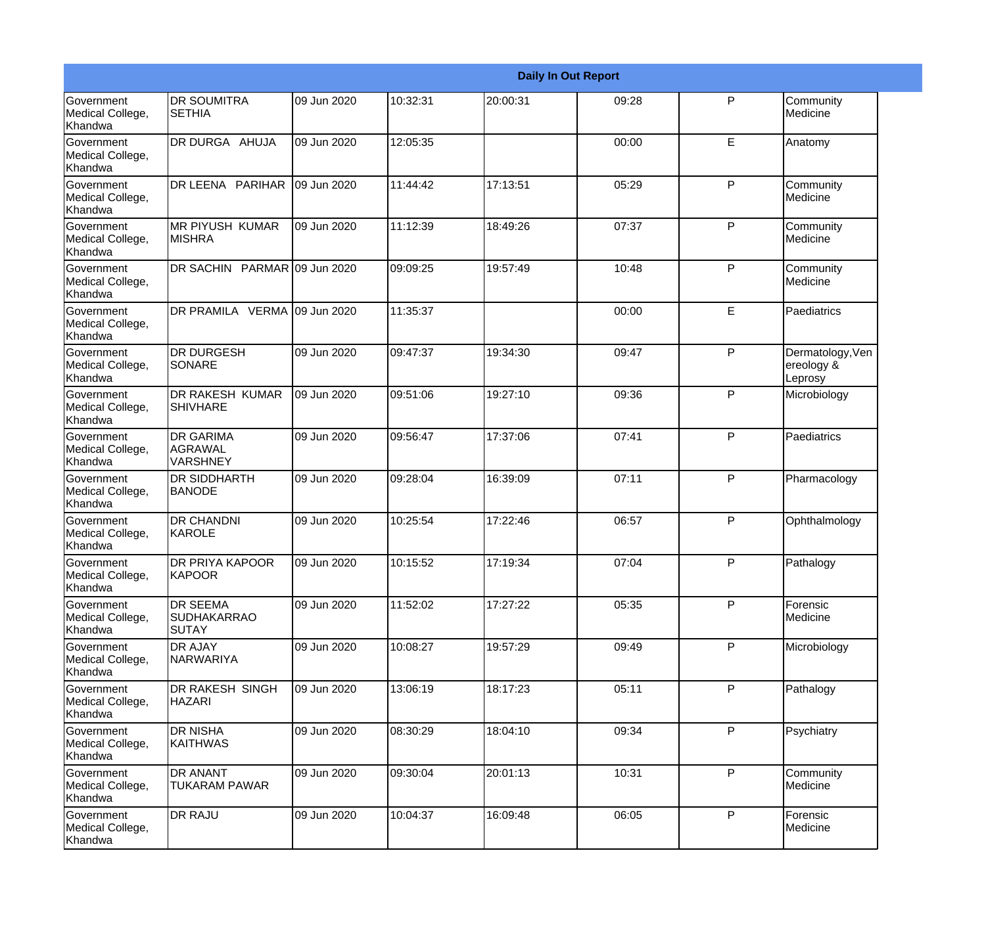|                                                  |                                                       |             |          |          | <b>Daily In Out Report</b> |              |                                           |
|--------------------------------------------------|-------------------------------------------------------|-------------|----------|----------|----------------------------|--------------|-------------------------------------------|
| Government<br>Medical College,<br>Khandwa        | <b>DR SOUMITRA</b><br><b>SETHIA</b>                   | 09 Jun 2020 | 10:32:31 | 20:00:31 | 09:28                      | $\mathsf{P}$ | Community<br>Medicine                     |
| Government<br>Medical College,<br>Khandwa        | DR DURGA AHUJA                                        | 09 Jun 2020 | 12:05:35 |          | 00:00                      | E            | Anatomy                                   |
| <b>Government</b><br>Medical College,<br>Khandwa | DR LEENA PARIHAR                                      | 09 Jun 2020 | 11:44:42 | 17:13:51 | 05:29                      | P            | Community<br>Medicine                     |
| <b>Government</b><br>Medical College,<br>Khandwa | <b>MR PIYUSH KUMAR</b><br><b>MISHRA</b>               | 09 Jun 2020 | 11:12:39 | 18:49:26 | 07:37                      | P            | Community<br>Medicine                     |
| Government<br>Medical College,<br>Khandwa        | DR SACHIN PARMAR 09 Jun 2020                          |             | 09:09:25 | 19:57:49 | 10:48                      | P            | Community<br>Medicine                     |
| Government<br>Medical College,<br><b>Khandwa</b> | DR PRAMILA VERMA 09 Jun 2020                          |             | 11:35:37 |          | 00:00                      | E            | Paediatrics                               |
| <b>Government</b><br>Medical College,<br>Khandwa | <b>DR DURGESH</b><br>SONARE                           | 09 Jun 2020 | 09:47:37 | 19:34:30 | 09:47                      | P            | Dermatology, Ven<br>ereology &<br>Leprosy |
| <b>Government</b><br>Medical College,<br>Khandwa | DR RAKESH KUMAR<br><b>SHIVHARE</b>                    | 09 Jun 2020 | 09:51:06 | 19:27:10 | 09:36                      | $\mathsf{P}$ | Microbiology                              |
| Government<br>Medical College,<br>Khandwa        | <b>DR GARIMA</b><br>AGRAWAL<br><b>VARSHNEY</b>        | 09 Jun 2020 | 09:56:47 | 17:37:06 | 07:41                      | P            | Paediatrics                               |
| <b>Government</b><br>Medical College,<br>Khandwa | <b>DR SIDDHARTH</b><br><b>BANODE</b>                  | 09 Jun 2020 | 09:28:04 | 16:39:09 | 07:11                      | P            | Pharmacology                              |
| <b>Government</b><br>Medical College,<br>Khandwa | <b>DR CHANDNI</b><br>KAROLE                           | 09 Jun 2020 | 10:25:54 | 17:22:46 | 06:57                      | P            | Ophthalmology                             |
| Government<br>Medical College,<br>Khandwa        | DR PRIYA KAPOOR<br>KAPOOR                             | 09 Jun 2020 | 10:15:52 | 17:19:34 | 07:04                      | P            | Pathalogy                                 |
| Government<br>Medical College,<br>Khandwa        | <b>DR SEEMA</b><br><b>SUDHAKARRAO</b><br><b>SUTAY</b> | 09 Jun 2020 | 11:52:02 | 17:27:22 | 05:35                      | P            | Forensic<br>Medicine                      |
| Government<br>Medical College,<br>Khandwa        | <b>DR AJAY</b><br>NARWARIYA                           | 09 Jun 2020 | 10:08:27 | 19:57:29 | 09:49                      | P            | Microbiology                              |
| Government<br>Medical College,<br>Khandwa        | DR RAKESH SINGH<br><b>HAZARI</b>                      | 09 Jun 2020 | 13:06:19 | 18:17:23 | 05:11                      | P            | Pathalogy                                 |
| Government<br>Medical College,<br>Khandwa        | <b>DR NISHA</b><br><b>KAITHWAS</b>                    | 09 Jun 2020 | 08:30:29 | 18:04:10 | 09:34                      | P            | Psychiatry                                |
| Government<br>Medical College,<br>Khandwa        | <b>DR ANANT</b><br>TUKARAM PAWAR                      | 09 Jun 2020 | 09:30:04 | 20:01:13 | 10:31                      | $\mathsf{P}$ | Community<br>Medicine                     |
| Government<br>Medical College,<br>Khandwa        | <b>DR RAJU</b>                                        | 09 Jun 2020 | 10:04:37 | 16:09:48 | 06:05                      | P            | Forensic<br>Medicine                      |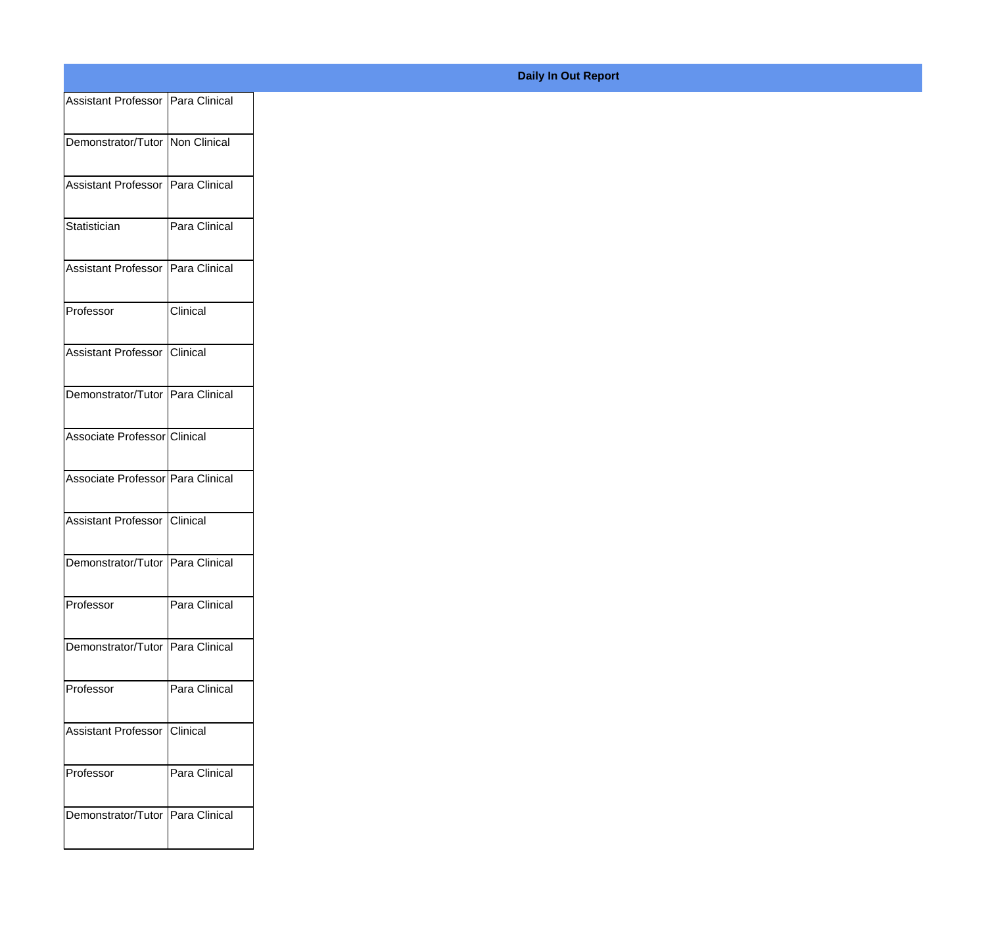| Assistant Professor   Para Clinical |                 |
|-------------------------------------|-----------------|
| Demonstrator/Tutor Non Clinical     |                 |
| Assistant Professor Para Clinical   |                 |
|                                     |                 |
| Statistician                        | Para Clinical   |
| Assistant Professor   Para Clinical |                 |
| Professor                           | <b>Clinical</b> |
| Assistant Professor Clinical        |                 |
| Demonstrator/Tutor Para Clinical    |                 |
| Associate Professor Clinical        |                 |
|                                     |                 |
| Associate Professor Para Clinical   |                 |
| Assistant Professor Clinical        |                 |
| Demonstrator/Tutor Para Clinical    |                 |
| Professor                           | Para Clinical   |
| Demonstrator/Tutor Para Clinical    |                 |
|                                     |                 |
| Professor                           | Para Clinical   |
| Assistant Professor Clinical        |                 |
| Professor                           | Para Clinical   |
| Demonstrator/Tutor Para Clinical    |                 |
|                                     |                 |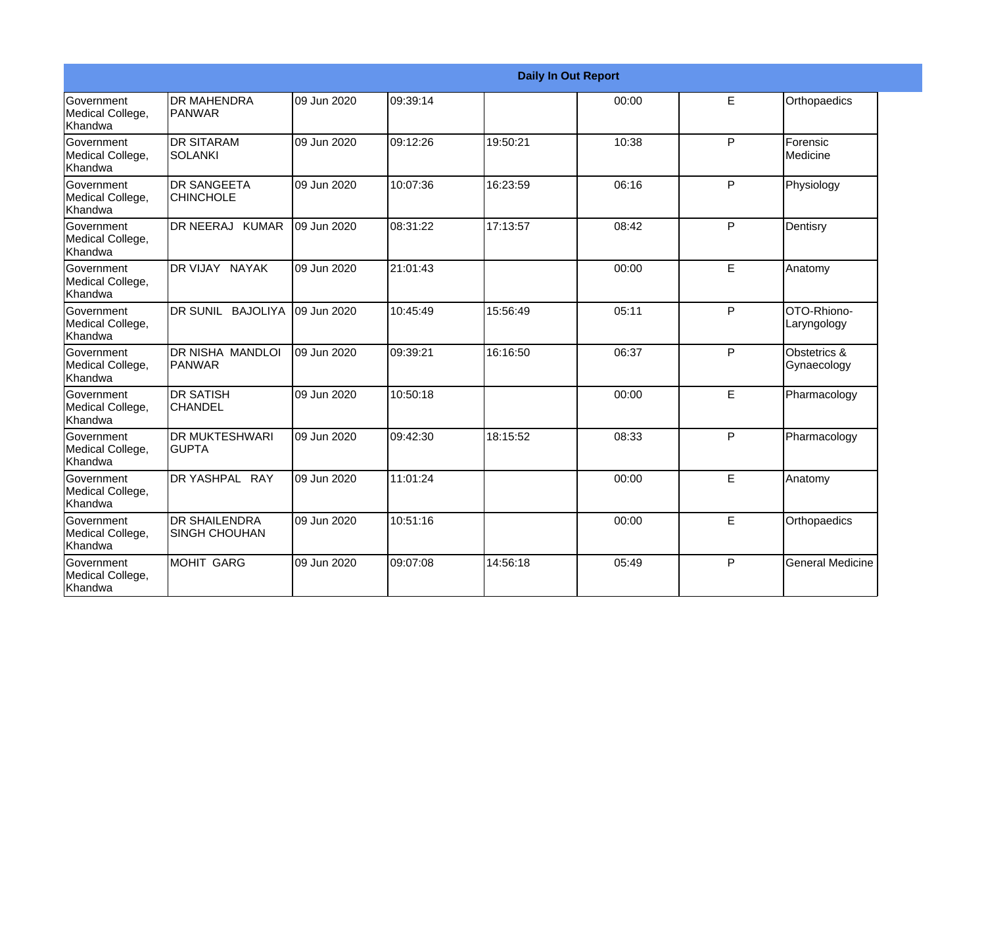|                                           |                                              |             |          | <b>Daily In Out Report</b> |       |   |                             |
|-------------------------------------------|----------------------------------------------|-------------|----------|----------------------------|-------|---|-----------------------------|
| Government<br>Medical College,<br>Khandwa | <b>IDR MAHENDRA</b><br><b>IPANWAR</b>        | 09 Jun 2020 | 09:39:14 |                            | 00:00 | E | Orthopaedics                |
| Government<br>Medical College,<br>Khandwa | <b>DR SITARAM</b><br><b>SOLANKI</b>          | 09 Jun 2020 | 09:12:26 | 19:50:21                   | 10:38 | P | Forensic<br><b>Medicine</b> |
| Government<br>Medical College,<br>Khandwa | <b>DR SANGEETA</b><br><b>CHINCHOLE</b>       | 09 Jun 2020 | 10:07:36 | 16:23:59                   | 06:16 | P | Physiology                  |
| Government<br>Medical College,<br>Khandwa | DR NEERAJ KUMAR                              | 09 Jun 2020 | 08:31:22 | 17:13:57                   | 08:42 | P | Dentisry                    |
| Government<br>Medical College,<br>Khandwa | DR VIJAY NAYAK                               | 09 Jun 2020 | 21:01:43 |                            | 00:00 | E | Anatomy                     |
| Government<br>Medical College,<br>Khandwa | DR SUNIL BAJOLIYA                            | 09 Jun 2020 | 10:45:49 | 15:56:49                   | 05:11 | P | OTO-Rhiono-<br>Laryngology  |
| Government<br>Medical College,<br>Khandwa | <b>DR NISHA MANDLOI</b><br><b>PANWAR</b>     | 09 Jun 2020 | 09:39:21 | 16:16:50                   | 06:37 | P | Obstetrics &<br>Gynaecology |
| Government<br>Medical College,<br>Khandwa | <b>DR SATISH</b><br><b>CHANDEL</b>           | 09 Jun 2020 | 10:50:18 |                            | 00:00 | E | Pharmacology                |
| Government<br>Medical College,<br>Khandwa | <b>DR MUKTESHWARI</b><br><b>GUPTA</b>        | 09 Jun 2020 | 09:42:30 | 18:15:52                   | 08:33 | P | Pharmacology                |
| Government<br>Medical College,<br>Khandwa | DR YASHPAL RAY                               | 09 Jun 2020 | 11:01:24 |                            | 00:00 | E | Anatomy                     |
| Government<br>Medical College,<br>Khandwa | <b>DR SHAILENDRA</b><br><b>SINGH CHOUHAN</b> | 09 Jun 2020 | 10:51:16 |                            | 00:00 | E | Orthopaedics                |
| Government<br>Medical College,<br>Khandwa | <b>MOHIT GARG</b>                            | 09 Jun 2020 | 09:07:08 | 14:56:18                   | 05:49 | P | <b>General Medicine</b>     |